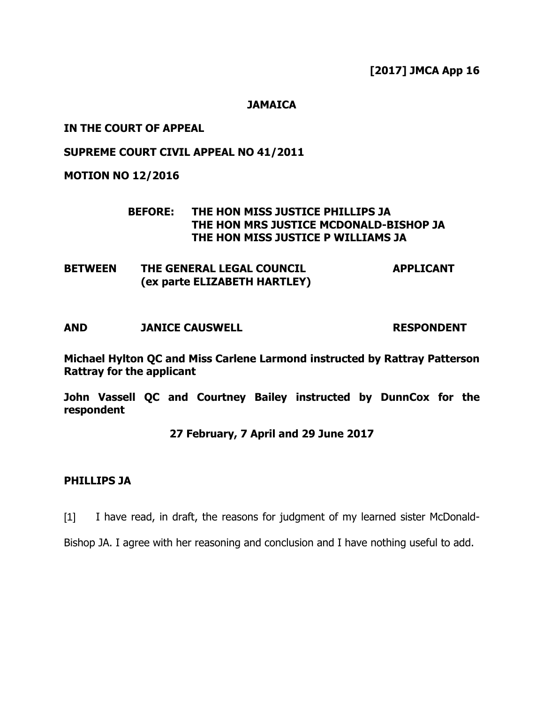**[2017] JMCA App 16**

**JAMAICA**

## **IN THE COURT OF APPEAL**

### **SUPREME COURT CIVIL APPEAL NO 41/2011**

**MOTION NO 12/2016**

### **BEFORE: THE HON MISS JUSTICE PHILLIPS JA THE HON MRS JUSTICE MCDONALD-BISHOP JA THE HON MISS JUSTICE P WILLIAMS JA**

**BETWEEN THE GENERAL LEGAL COUNCIL (ex parte ELIZABETH HARTLEY) APPLICANT**

**AND JANICE CAUSWELL RESPONDENT**

**Michael Hylton QC and Miss Carlene Larmond instructed by Rattray Patterson Rattray for the applicant**

**John Vassell QC and Courtney Bailey instructed by DunnCox for the respondent**

#### **27 February, 7 April and 29 June 2017**

#### **PHILLIPS JA**

[1] I have read, in draft, the reasons for judgment of my learned sister McDonald-

Bishop JA. I agree with her reasoning and conclusion and I have nothing useful to add.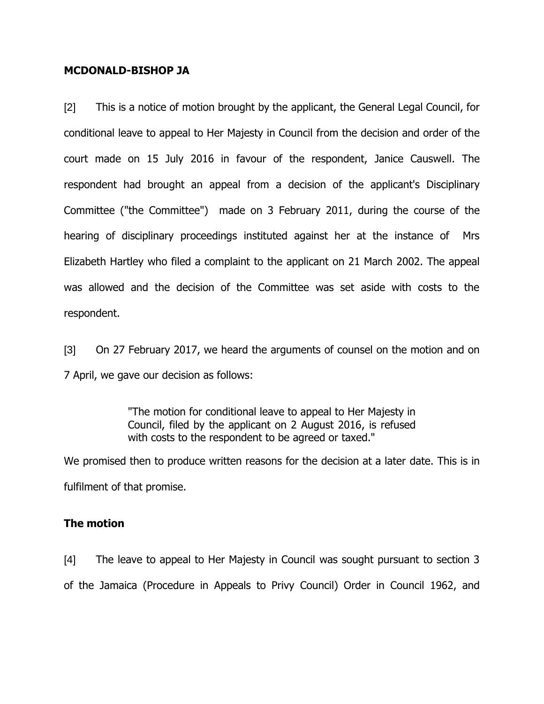#### **MCDONALD-BISHOP JA**

[2] This is a notice of motion brought by the applicant, the General Legal Council, for conditional leave to appeal to Her Majesty in Council from the decision and order of the court made on 15 July 2016 in favour of the respondent, Janice Causwell. The respondent had brought an appeal from a decision of the applicant's Disciplinary Committee ("the Committee") made on 3 February 2011, during the course of the hearing of disciplinary proceedings instituted against her at the instance of Mrs Elizabeth Hartley who filed a complaint to the applicant on 21 March 2002. The appeal was allowed and the decision of the Committee was set aside with costs to the respondent.

[3] On 27 February 2017, we heard the arguments of counsel on the motion and on 7 April, we gave our decision as follows:

> "The motion for conditional leave to appeal to Her Majesty in Council, filed by the applicant on 2 August 2016, is refused with costs to the respondent to be agreed or taxed."

We promised then to produce written reasons for the decision at a later date. This is in fulfilment of that promise.

## **The motion**

[4] The leave to appeal to Her Majesty in Council was sought pursuant to section 3 of the Jamaica (Procedure in Appeals to Privy Council) Order in Council 1962, and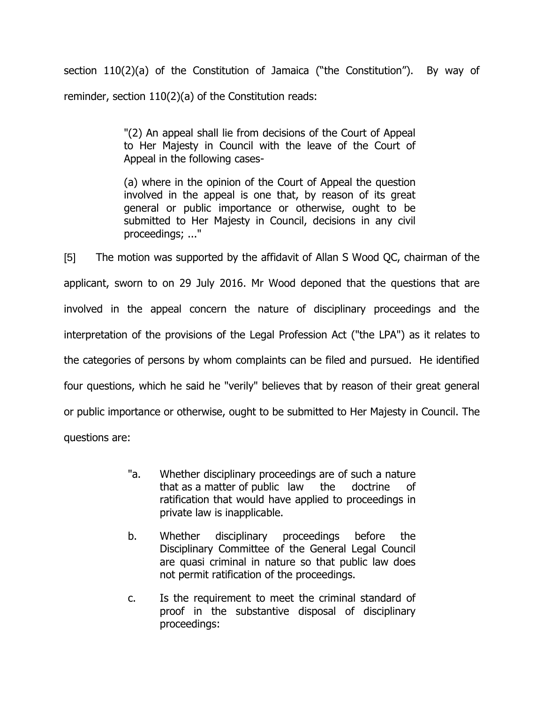section 110(2)(a) of the Constitution of Jamaica ("the Constitution"). By way of reminder, section 110(2)(a) of the Constitution reads:

> "(2) An appeal shall lie from decisions of the Court of Appeal to Her Majesty in Council with the leave of the Court of Appeal in the following cases-

> (a) where in the opinion of the Court of Appeal the question involved in the appeal is one that, by reason of its great general or public importance or otherwise, ought to be submitted to Her Majesty in Council, decisions in any civil proceedings; ..."

[5] The motion was supported by the affidavit of Allan S Wood QC, chairman of the applicant, sworn to on 29 July 2016. Mr Wood deponed that the questions that are involved in the appeal concern the nature of disciplinary proceedings and the interpretation of the provisions of the Legal Profession Act ("the LPA") as it relates to the categories of persons by whom complaints can be filed and pursued. He identified four questions, which he said he "verily" believes that by reason of their great general or public importance or otherwise, ought to be submitted to Her Majesty in Council. The questions are:

- "a. Whether disciplinary proceedings are of such a nature that as a matter of public law the doctrine of ratification that would have applied to proceedings in private law is inapplicable.
- b. Whether disciplinary proceedings before the Disciplinary Committee of the General Legal Council are quasi criminal in nature so that public law does not permit ratification of the proceedings.
- c. Is the requirement to meet the criminal standard of proof in the substantive disposal of disciplinary proceedings: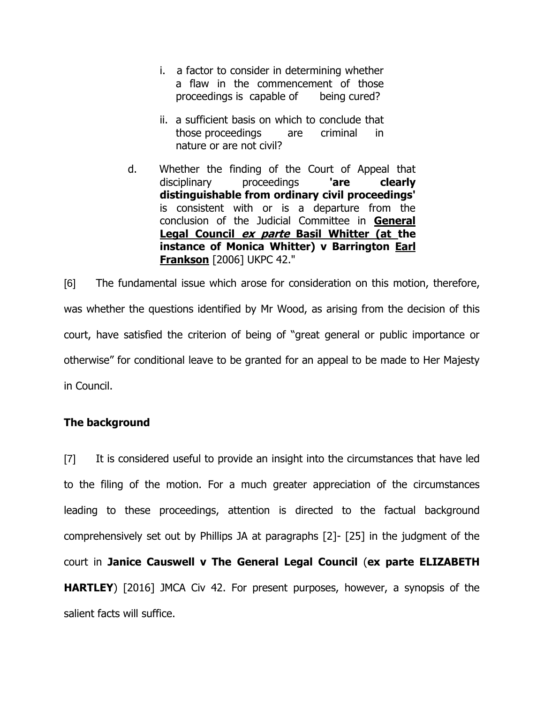- i. a factor to consider in determining whether a flaw in the commencement of those proceedings is capable of being cured?
- ii. a sufficient basis on which to conclude that those proceedings are criminal in nature or are not civil?
- d. Whether the finding of the Court of Appeal that disciplinary proceedings **'are clearly distinguishable from ordinary civil proceedings'** is consistent with or is a departure from the conclusion of the Judicial Committee in **General Legal Council ex parte Basil Whitter (at the instance of Monica Whitter) v Barrington Earl Frankson** [2006] UKPC 42."

[6] The fundamental issue which arose for consideration on this motion, therefore, was whether the questions identified by Mr Wood, as arising from the decision of this court, have satisfied the criterion of being of "great general or public importance or otherwise" for conditional leave to be granted for an appeal to be made to Her Majesty in Council.

# **The background**

[7] It is considered useful to provide an insight into the circumstances that have led to the filing of the motion. For a much greater appreciation of the circumstances leading to these proceedings, attention is directed to the factual background comprehensively set out by Phillips JA at paragraphs [2]- [25] in the judgment of the court in **Janice Causwell v The General Legal Council** (**ex parte ELIZABETH HARTLEY**) [2016] JMCA Civ 42. For present purposes, however, a synopsis of the salient facts will suffice.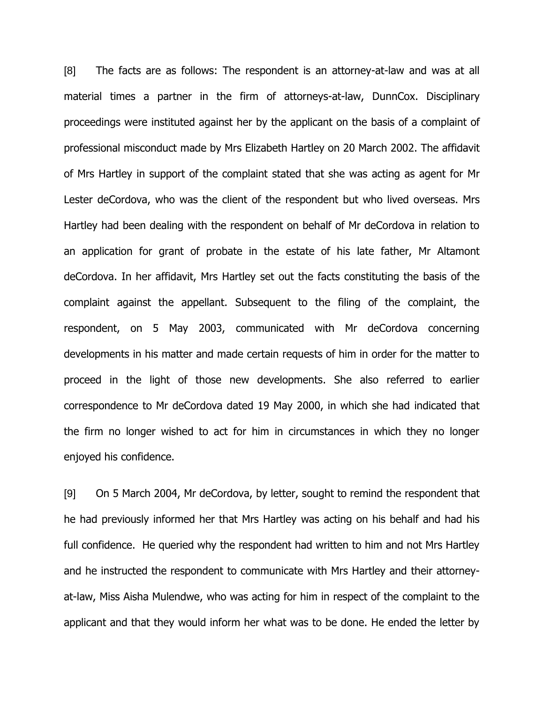[8] The facts are as follows: The respondent is an attorney-at-law and was at all material times a partner in the firm of attorneys-at-law, DunnCox. Disciplinary proceedings were instituted against her by the applicant on the basis of a complaint of professional misconduct made by Mrs Elizabeth Hartley on 20 March 2002. The affidavit of Mrs Hartley in support of the complaint stated that she was acting as agent for Mr Lester deCordova, who was the client of the respondent but who lived overseas. Mrs Hartley had been dealing with the respondent on behalf of Mr deCordova in relation to an application for grant of probate in the estate of his late father, Mr Altamont deCordova. In her affidavit, Mrs Hartley set out the facts constituting the basis of the complaint against the appellant. Subsequent to the filing of the complaint, the respondent, on 5 May 2003, communicated with Mr deCordova concerning developments in his matter and made certain requests of him in order for the matter to proceed in the light of those new developments. She also referred to earlier correspondence to Mr deCordova dated 19 May 2000, in which she had indicated that the firm no longer wished to act for him in circumstances in which they no longer enjoyed his confidence.

[9] On 5 March 2004, Mr deCordova, by letter, sought to remind the respondent that he had previously informed her that Mrs Hartley was acting on his behalf and had his full confidence. He queried why the respondent had written to him and not Mrs Hartley and he instructed the respondent to communicate with Mrs Hartley and their attorneyat-law, Miss Aisha Mulendwe, who was acting for him in respect of the complaint to the applicant and that they would inform her what was to be done. He ended the letter by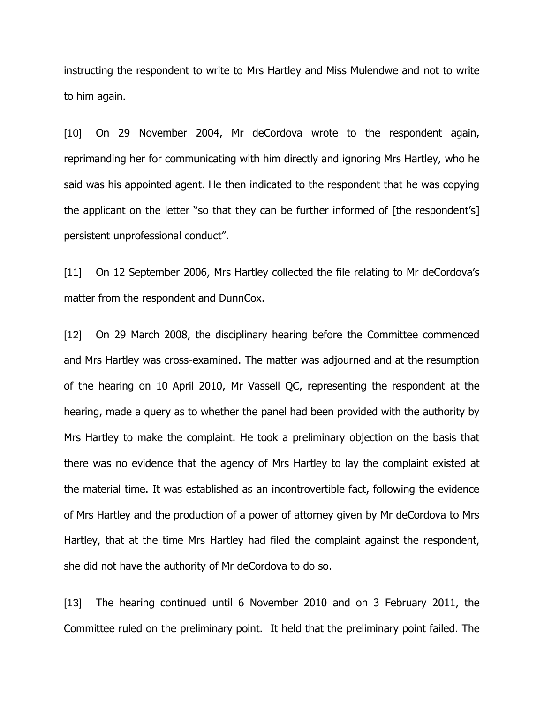instructing the respondent to write to Mrs Hartley and Miss Mulendwe and not to write to him again.

[10] On 29 November 2004, Mr deCordova wrote to the respondent again, reprimanding her for communicating with him directly and ignoring Mrs Hartley, who he said was his appointed agent. He then indicated to the respondent that he was copying the applicant on the letter "so that they can be further informed of [the respondent's] persistent unprofessional conduct".

[11] On 12 September 2006, Mrs Hartley collected the file relating to Mr deCordova's matter from the respondent and DunnCox.

[12] On 29 March 2008, the disciplinary hearing before the Committee commenced and Mrs Hartley was cross-examined. The matter was adjourned and at the resumption of the hearing on 10 April 2010, Mr Vassell QC, representing the respondent at the hearing, made a query as to whether the panel had been provided with the authority by Mrs Hartley to make the complaint. He took a preliminary objection on the basis that there was no evidence that the agency of Mrs Hartley to lay the complaint existed at the material time. It was established as an incontrovertible fact, following the evidence of Mrs Hartley and the production of a power of attorney given by Mr deCordova to Mrs Hartley, that at the time Mrs Hartley had filed the complaint against the respondent, she did not have the authority of Mr deCordova to do so.

[13] The hearing continued until 6 November 2010 and on 3 February 2011, the Committee ruled on the preliminary point. It held that the preliminary point failed. The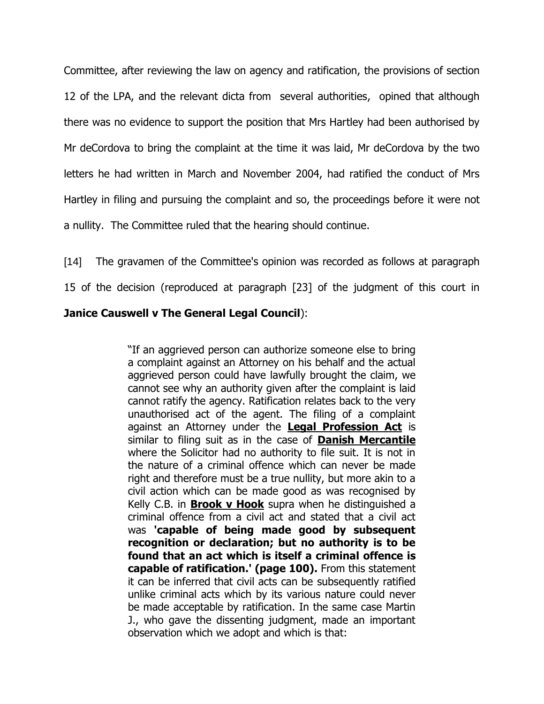Committee, after reviewing the law on agency and ratification, the provisions of section 12 of the LPA, and the relevant dicta from several authorities, opined that although there was no evidence to support the position that Mrs Hartley had been authorised by Mr deCordova to bring the complaint at the time it was laid, Mr deCordova by the two letters he had written in March and November 2004, had ratified the conduct of Mrs Hartley in filing and pursuing the complaint and so, the proceedings before it were not a nullity. The Committee ruled that the hearing should continue.

[14] The gravamen of the Committee's opinion was recorded as follows at paragraph

15 of the decision (reproduced at paragraph [23] of the judgment of this court in

## **Janice Causwell v The General Legal Council**):

"If an aggrieved person can authorize someone else to bring a complaint against an Attorney on his behalf and the actual aggrieved person could have lawfully brought the claim, we cannot see why an authority given after the complaint is laid cannot ratify the agency. Ratification relates back to the very unauthorised act of the agent. The filing of a complaint against an Attorney under the **Legal Profession Act** is similar to filing suit as in the case of **Danish Mercantile** where the Solicitor had no authority to file suit. It is not in the nature of a criminal offence which can never be made right and therefore must be a true nullity, but more akin to a civil action which can be made good as was recognised by Kelly C.B. in **Brook v Hook** supra when he distinguished a criminal offence from a civil act and stated that a civil act was **'capable of being made good by subsequent recognition or declaration; but no authority is to be found that an act which is itself a criminal offence is capable of ratification.' (page 100).** From this statement it can be inferred that civil acts can be subsequently ratified unlike criminal acts which by its various nature could never be made acceptable by ratification. In the same case Martin J., who gave the dissenting judgment, made an important observation which we adopt and which is that: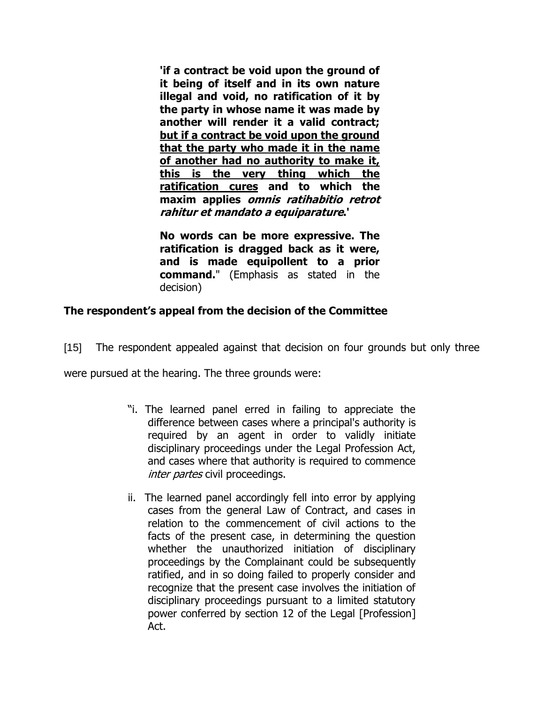**'if a contract be void upon the ground of it being of itself and in its own nature illegal and void, no ratification of it by the party in whose name it was made by another will render it a valid contract; but if a contract be void upon the ground that the party who made it in the name of another had no authority to make it, this is the very thing which the ratification cures and to which the maxim applies omnis ratihabitio retrot rahitur et mandato a equiparature.'**

**No words can be more expressive. The ratification is dragged back as it were, and is made equipollent to a prior command.**" (Emphasis as stated in the decision)

# **The respondent's appeal from the decision of the Committee**

[15] The respondent appealed against that decision on four grounds but only three

were pursued at the hearing. The three grounds were:

- "i. The learned panel erred in failing to appreciate the difference between cases where a principal's authority is required by an agent in order to validly initiate disciplinary proceedings under the Legal Profession Act, and cases where that authority is required to commence *inter partes* civil proceedings.
- ii. The learned panel accordingly fell into error by applying cases from the general Law of Contract, and cases in relation to the commencement of civil actions to the facts of the present case, in determining the question whether the unauthorized initiation of disciplinary proceedings by the Complainant could be subsequently ratified, and in so doing failed to properly consider and recognize that the present case involves the initiation of disciplinary proceedings pursuant to a limited statutory power conferred by section 12 of the Legal [Profession] Act.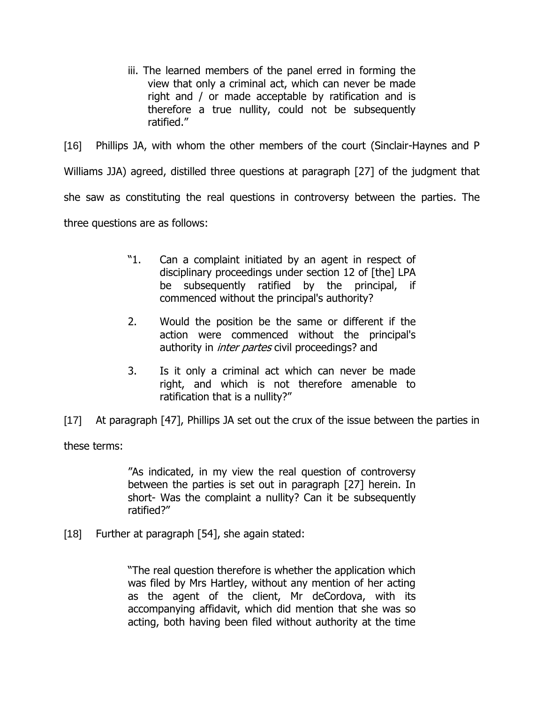iii. The learned members of the panel erred in forming the view that only a criminal act, which can never be made right and / or made acceptable by ratification and is therefore a true nullity, could not be subsequently ratified."

[16] Phillips JA, with whom the other members of the court (Sinclair-Haynes and P Williams JJA) agreed, distilled three questions at paragraph [27] of the judgment that she saw as constituting the real questions in controversy between the parties. The three questions are as follows:

- "1. Can a complaint initiated by an agent in respect of disciplinary proceedings under section 12 of [the] LPA be subsequently ratified by the principal, if commenced without the principal's authority?
- 2. Would the position be the same or different if the action were commenced without the principal's authority in *inter partes* civil proceedings? and
- 3. Is it only a criminal act which can never be made right, and which is not therefore amenable to ratification that is a nullity?"

[17] At paragraph [47], Phillips JA set out the crux of the issue between the parties in

these terms:

"As indicated, in my view the real question of controversy between the parties is set out in paragraph [27] herein. In short- Was the complaint a nullity? Can it be subsequently ratified?"

[18] Further at paragraph [54], she again stated:

"The real question therefore is whether the application which was filed by Mrs Hartley, without any mention of her acting as the agent of the client, Mr deCordova, with its accompanying affidavit, which did mention that she was so acting, both having been filed without authority at the time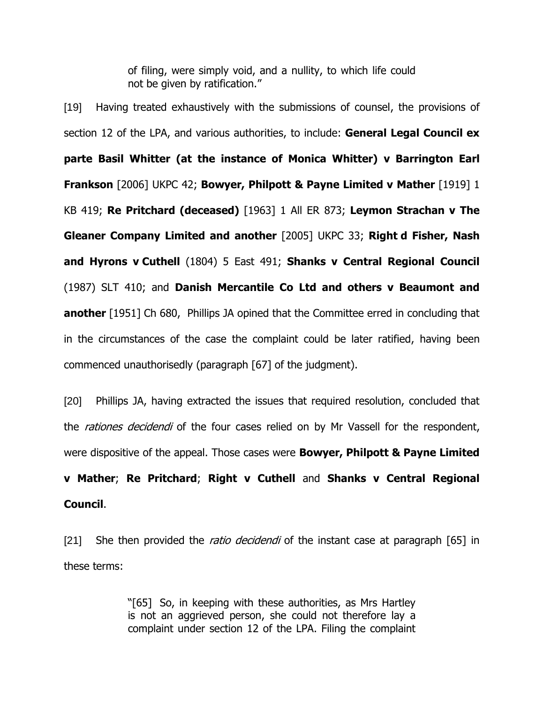of filing, were simply void, and a nullity, to which life could not be given by ratification."

[19] Having treated exhaustively with the submissions of counsel, the provisions of section 12 of the LPA, and various authorities, to include: **General Legal Council ex parte Basil Whitter (at the instance of Monica Whitter) v Barrington Earl Frankson** [2006] UKPC 42; **Bowyer, Philpott & Payne Limited v Mather** [1919] 1 KB 419; **Re Pritchard (deceased)** [1963] 1 All ER 873; **Leymon Strachan v The Gleaner Company Limited and another** [2005] UKPC 33; **Right d Fisher, Nash and Hyrons v Cuthell** (1804) 5 East 491; **Shanks v Central Regional Council** (1987) SLT 410; and **Danish Mercantile Co Ltd and others v Beaumont and another** [1951] Ch 680, Phillips JA opined that the Committee erred in concluding that in the circumstances of the case the complaint could be later ratified, having been commenced unauthorisedly (paragraph [67] of the judgment).

[20] Phillips JA, having extracted the issues that required resolution, concluded that the *rationes decidendi* of the four cases relied on by Mr Vassell for the respondent, were dispositive of the appeal. Those cases were **Bowyer, Philpott & Payne Limited v Mather**; **Re Pritchard**; **Right v Cuthell** and **Shanks v Central Regional Council**.

[21] She then provided the *ratio decidendi* of the instant case at paragraph  $[65]$  in these terms:

> "[65] So, in keeping with these authorities, as Mrs Hartley is not an aggrieved person, she could not therefore lay a complaint under section 12 of the LPA. Filing the complaint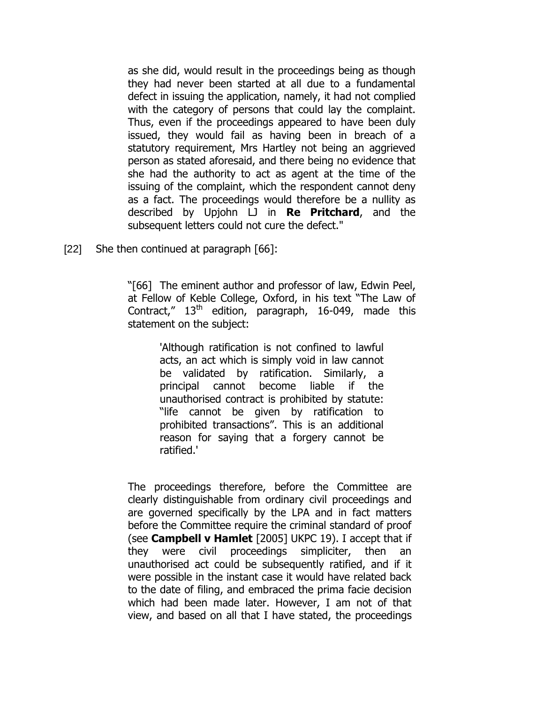as she did, would result in the proceedings being as though they had never been started at all due to a fundamental defect in issuing the application, namely, it had not complied with the category of persons that could lay the complaint. Thus, even if the proceedings appeared to have been duly issued, they would fail as having been in breach of a statutory requirement, Mrs Hartley not being an aggrieved person as stated aforesaid, and there being no evidence that she had the authority to act as agent at the time of the issuing of the complaint, which the respondent cannot deny as a fact. The proceedings would therefore be a nullity as described by Upjohn LJ in **Re Pritchard**, and the subsequent letters could not cure the defect."

[22] She then continued at paragraph [66]:

"[66] The eminent author and professor of law, Edwin Peel, at Fellow of Keble College, Oxford, in his text "The Law of Contract,"  $13<sup>th</sup>$  edition, paragraph, 16-049, made this statement on the subject:

> 'Although ratification is not confined to lawful acts, an act which is simply void in law cannot be validated by ratification. Similarly, a principal cannot become liable if the unauthorised contract is prohibited by statute: "life cannot be given by ratification to prohibited transactions". This is an additional reason for saying that a forgery cannot be ratified.'

The proceedings therefore, before the Committee are clearly distinguishable from ordinary civil proceedings and are governed specifically by the LPA and in fact matters before the Committee require the criminal standard of proof (see **Campbell v Hamlet** [2005] UKPC 19). I accept that if they were civil proceedings simpliciter, then an unauthorised act could be subsequently ratified, and if it were possible in the instant case it would have related back to the date of filing, and embraced the prima facie decision which had been made later. However, I am not of that view, and based on all that I have stated, the proceedings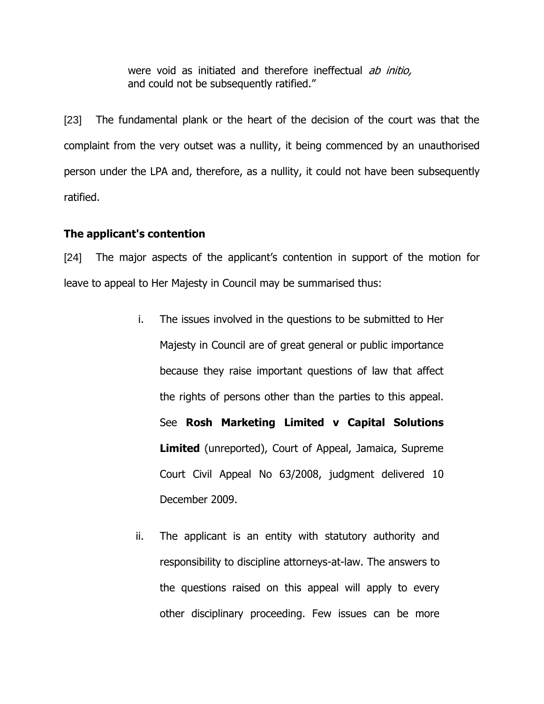were void as initiated and therefore ineffectual ab initio, and could not be subsequently ratified."

[23] The fundamental plank or the heart of the decision of the court was that the complaint from the very outset was a nullity, it being commenced by an unauthorised person under the LPA and, therefore, as a nullity, it could not have been subsequently ratified.

#### **The applicant's contention**

[24] The major aspects of the applicant's contention in support of the motion for leave to appeal to Her Majesty in Council may be summarised thus:

- i. The issues involved in the questions to be submitted to Her Majesty in Council are of great general or public importance because they raise important questions of law that affect the rights of persons other than the parties to this appeal. See **Rosh Marketing Limited v Capital Solutions Limited** (unreported), Court of Appeal, Jamaica, Supreme Court Civil Appeal No 63/2008, judgment delivered 10 December 2009.
- ii. The applicant is an entity with statutory authority and responsibility to discipline attorneys-at-law. The answers to the questions raised on this appeal will apply to every other disciplinary proceeding. Few issues can be more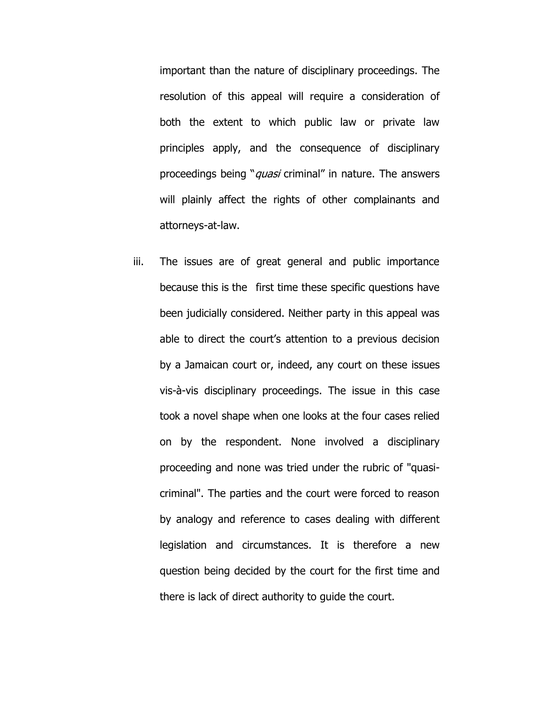important than the nature of disciplinary proceedings. The resolution of this appeal will require a consideration of both the extent to which public law or private law principles apply, and the consequence of disciplinary proceedings being "*quasi* criminal" in nature. The answers will plainly affect the rights of other complainants and attorneys-at-law.

iii. The issues are of great general and public importance because this is the first time these specific questions have been judicially considered. Neither party in this appeal was able to direct the court's attention to a previous decision by a Jamaican court or, indeed, any court on these issues vis-à-vis disciplinary proceedings. The issue in this case took a novel shape when one looks at the four cases relied on by the respondent. None involved a disciplinary proceeding and none was tried under the rubric of "quasicriminal". The parties and the court were forced to reason by analogy and reference to cases dealing with different legislation and circumstances. It is therefore a new question being decided by the court for the first time and there is lack of direct authority to guide the court.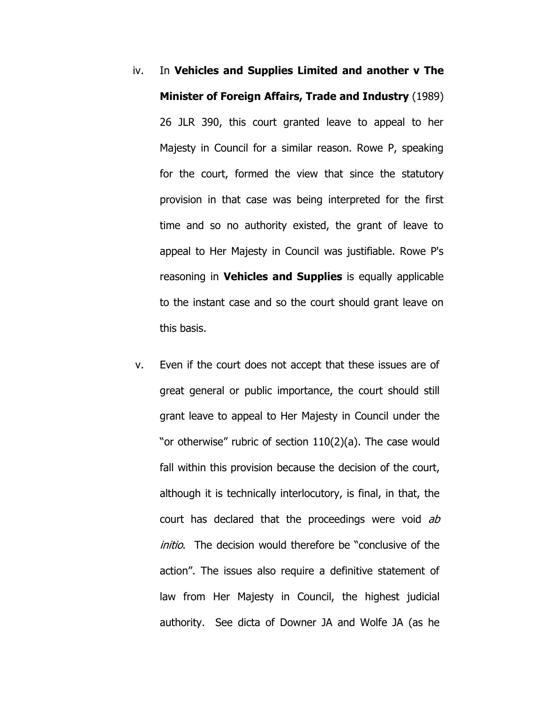- iv. In **Vehicles and Supplies Limited and another v The Minister of Foreign Affairs, Trade and Industry** (1989) 26 JLR 390, this court granted leave to appeal to her Majesty in Council for a similar reason. Rowe P, speaking for the court, formed the view that since the statutory provision in that case was being interpreted for the first time and so no authority existed, the grant of leave to appeal to Her Majesty in Council was justifiable. Rowe P's reasoning in **Vehicles and Supplies** is equally applicable to the instant case and so the court should grant leave on this basis.
- v. Even if the court does not accept that these issues are of great general or public importance, the court should still grant leave to appeal to Her Majesty in Council under the "or otherwise" rubric of section 110(2)(a). The case would fall within this provision because the decision of the court, although it is technically interlocutory, is final, in that, the court has declared that the proceedings were void ab initio. The decision would therefore be "conclusive of the action". The issues also require a definitive statement of law from Her Majesty in Council, the highest judicial authority. See dicta of Downer JA and Wolfe JA (as he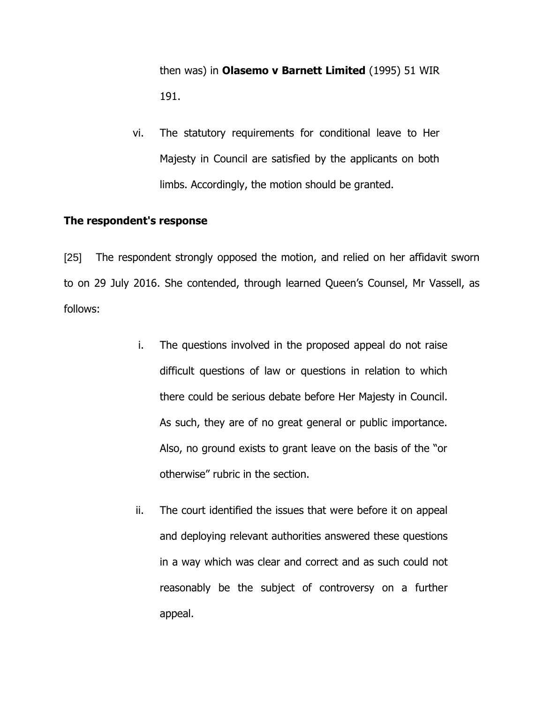then was) in **Olasemo v Barnett Limited** (1995) 51 WIR 191.

vi. The statutory requirements for conditional leave to Her Majesty in Council are satisfied by the applicants on both limbs. Accordingly, the motion should be granted.

#### **The respondent's response**

[25] The respondent strongly opposed the motion, and relied on her affidavit sworn to on 29 July 2016. She contended, through learned Queen's Counsel, Mr Vassell, as follows:

- i. The questions involved in the proposed appeal do not raise difficult questions of law or questions in relation to which there could be serious debate before Her Majesty in Council. As such, they are of no great general or public importance. Also, no ground exists to grant leave on the basis of the "or otherwise" rubric in the section.
- ii. The court identified the issues that were before it on appeal and deploying relevant authorities answered these questions in a way which was clear and correct and as such could not reasonably be the subject of controversy on a further appeal.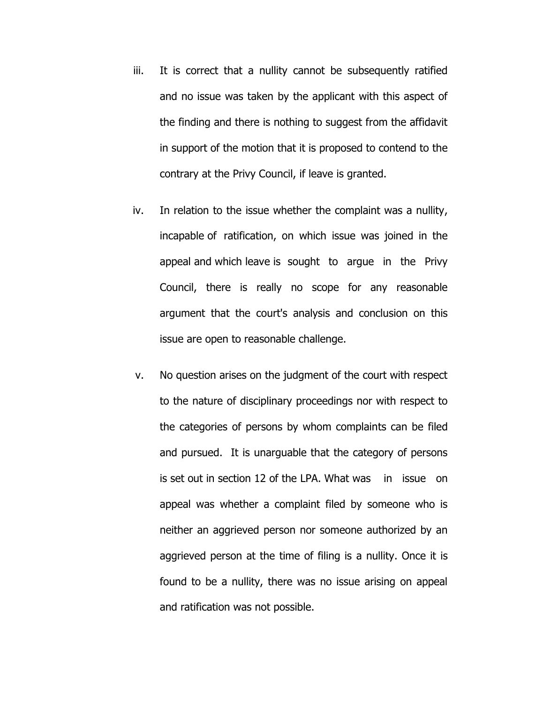- iii. It is correct that a nullity cannot be subsequently ratified and no issue was taken by the applicant with this aspect of the finding and there is nothing to suggest from the affidavit in support of the motion that it is proposed to contend to the contrary at the Privy Council, if leave is granted.
- iv. In relation to the issue whether the complaint was a nullity, incapable of ratification, on which issue was joined in the appeal and which leave is sought to argue in the Privy Council, there is really no scope for any reasonable argument that the court's analysis and conclusion on this issue are open to reasonable challenge.
- v. No question arises on the judgment of the court with respect to the nature of disciplinary proceedings nor with respect to the categories of persons by whom complaints can be filed and pursued. It is unarguable that the category of persons is set out in section 12 of the LPA. What was in issue on appeal was whether a complaint filed by someone who is neither an aggrieved person nor someone authorized by an aggrieved person at the time of filing is a nullity. Once it is found to be a nullity, there was no issue arising on appeal and ratification was not possible.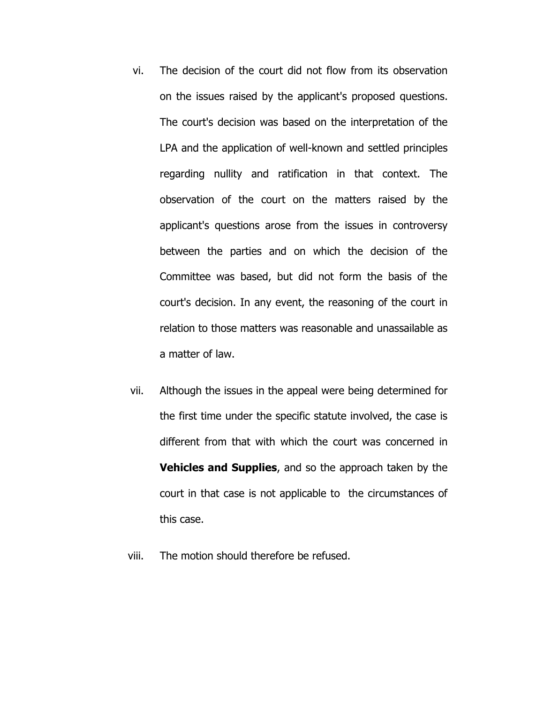- vi. The decision of the court did not flow from its observation on the issues raised by the applicant's proposed questions. The court's decision was based on the interpretation of the LPA and the application of well-known and settled principles regarding nullity and ratification in that context. The observation of the court on the matters raised by the applicant's questions arose from the issues in controversy between the parties and on which the decision of the Committee was based, but did not form the basis of the court's decision. In any event, the reasoning of the court in relation to those matters was reasonable and unassailable as a matter of law.
- vii. Although the issues in the appeal were being determined for the first time under the specific statute involved, the case is different from that with which the court was concerned in **Vehicles and Supplies**, and so the approach taken by the court in that case is not applicable to the circumstances of this case.
- viii. The motion should therefore be refused.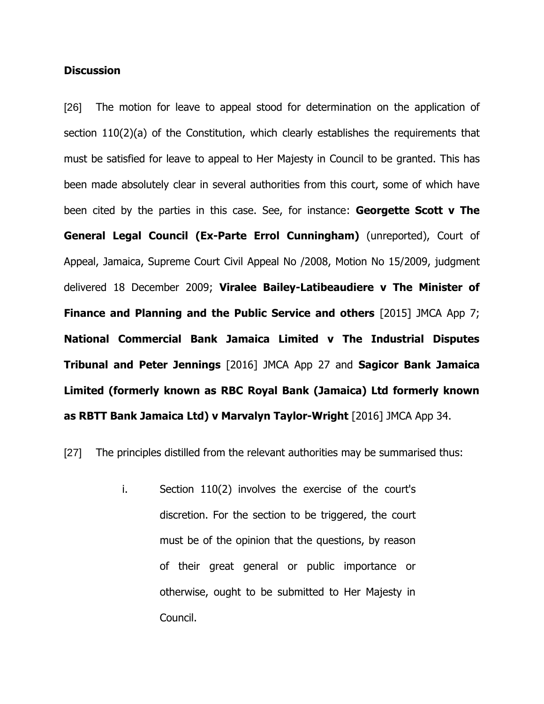## **Discussion**

[26] The motion for leave to appeal stood for determination on the application of section 110(2)(a) of the Constitution, which clearly establishes the requirements that must be satisfied for leave to appeal to Her Majesty in Council to be granted. This has been made absolutely clear in several authorities from this court, some of which have been cited by the parties in this case. See, for instance: **Georgette Scott v The General Legal Council (Ex-Parte Errol Cunningham)** (unreported), Court of Appeal, Jamaica, Supreme Court Civil Appeal No /2008, Motion No 15/2009, judgment delivered 18 December 2009; **Viralee Bailey-Latibeaudiere v The Minister of Finance and Planning and the Public Service and others** [2015] JMCA App 7; **National Commercial Bank Jamaica Limited v The Industrial Disputes Tribunal and Peter Jennings** [2016] JMCA App 27 and **Sagicor Bank Jamaica Limited (formerly known as RBC Royal Bank (Jamaica) Ltd formerly known as RBTT Bank Jamaica Ltd) v Marvalyn Taylor-Wright** [2016] JMCA App 34.

[27] The principles distilled from the relevant authorities may be summarised thus:

i. Section 110(2) involves the exercise of the court's discretion. For the section to be triggered, the court must be of the opinion that the questions, by reason of their great general or public importance or otherwise, ought to be submitted to Her Majesty in Council.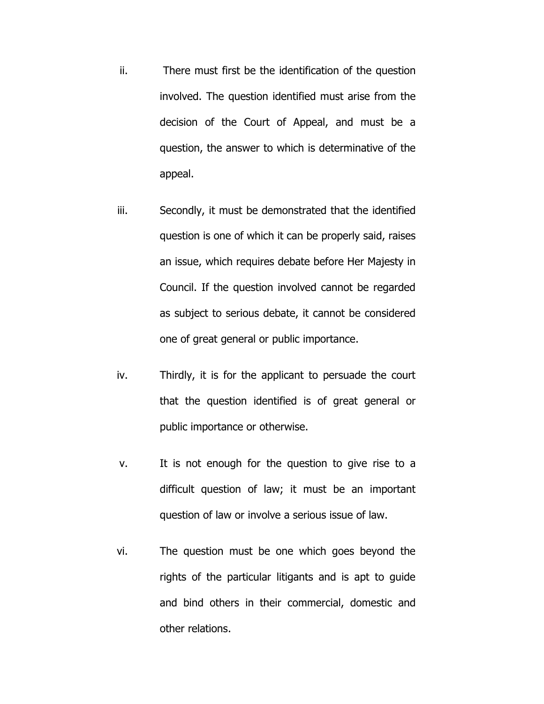- ii. There must first be the identification of the question involved. The question identified must arise from the decision of the Court of Appeal, and must be a question, the answer to which is determinative of the appeal.
- iii. Secondly, it must be demonstrated that the identified question is one of which it can be properly said, raises an issue, which requires debate before Her Majesty in Council. If the question involved cannot be regarded as subject to serious debate, it cannot be considered one of great general or public importance.
- iv. Thirdly, it is for the applicant to persuade the court that the question identified is of great general or public importance or otherwise.
- v. It is not enough for the question to give rise to a difficult question of law; it must be an important question of law or involve a serious issue of law.
- vi. The question must be one which goes beyond the rights of the particular litigants and is apt to guide and bind others in their commercial, domestic and other relations.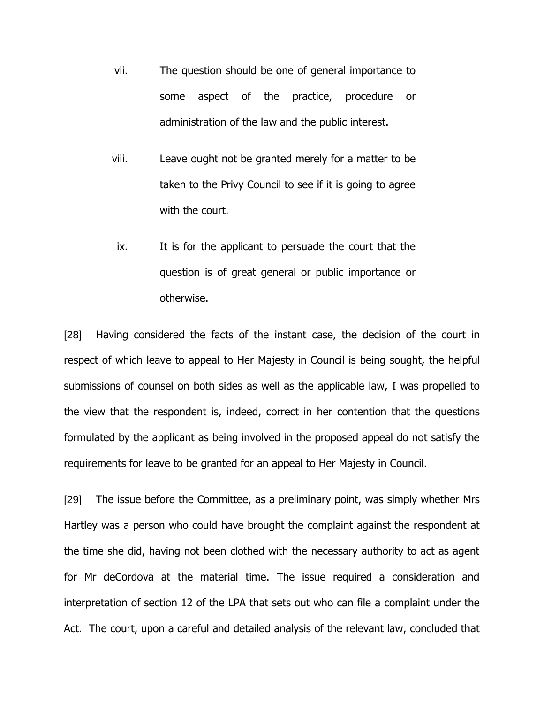- vii. The question should be one of general importance to some aspect of the practice, procedure or administration of the law and the public interest.
- viii. Leave ought not be granted merely for a matter to be taken to the Privy Council to see if it is going to agree with the court.
- ix. It is for the applicant to persuade the court that the question is of great general or public importance or otherwise.

[28] Having considered the facts of the instant case, the decision of the court in respect of which leave to appeal to Her Majesty in Council is being sought, the helpful submissions of counsel on both sides as well as the applicable law, I was propelled to the view that the respondent is, indeed, correct in her contention that the questions formulated by the applicant as being involved in the proposed appeal do not satisfy the requirements for leave to be granted for an appeal to Her Majesty in Council.

[29] The issue before the Committee, as a preliminary point, was simply whether Mrs Hartley was a person who could have brought the complaint against the respondent at the time she did, having not been clothed with the necessary authority to act as agent for Mr deCordova at the material time. The issue required a consideration and interpretation of section 12 of the LPA that sets out who can file a complaint under the Act. The court, upon a careful and detailed analysis of the relevant law, concluded that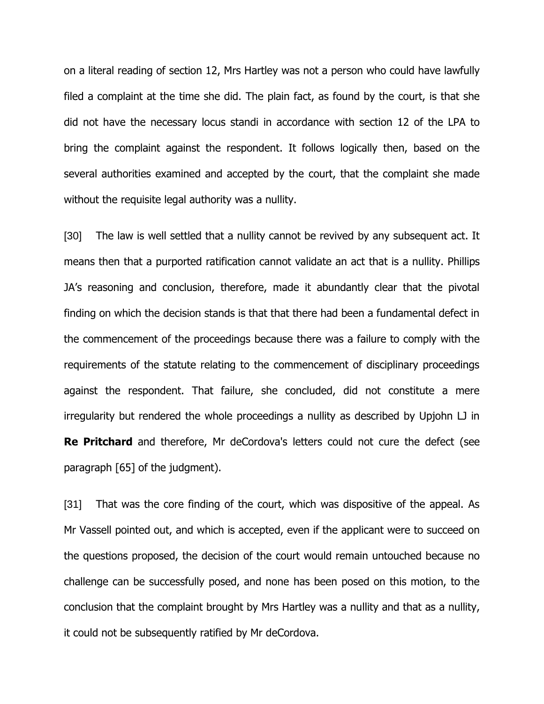on a literal reading of section 12, Mrs Hartley was not a person who could have lawfully filed a complaint at the time she did. The plain fact, as found by the court, is that she did not have the necessary locus standi in accordance with section 12 of the LPA to bring the complaint against the respondent. It follows logically then, based on the several authorities examined and accepted by the court, that the complaint she made without the requisite legal authority was a nullity.

[30] The law is well settled that a nullity cannot be revived by any subsequent act. It means then that a purported ratification cannot validate an act that is a nullity. Phillips JA's reasoning and conclusion, therefore, made it abundantly clear that the pivotal finding on which the decision stands is that that there had been a fundamental defect in the commencement of the proceedings because there was a failure to comply with the requirements of the statute relating to the commencement of disciplinary proceedings against the respondent. That failure, she concluded, did not constitute a mere irregularity but rendered the whole proceedings a nullity as described by Upjohn LJ in **Re Pritchard** and therefore, Mr deCordova's letters could not cure the defect (see paragraph [65] of the judgment).

[31] That was the core finding of the court, which was dispositive of the appeal. As Mr Vassell pointed out, and which is accepted, even if the applicant were to succeed on the questions proposed, the decision of the court would remain untouched because no challenge can be successfully posed, and none has been posed on this motion, to the conclusion that the complaint brought by Mrs Hartley was a nullity and that as a nullity, it could not be subsequently ratified by Mr deCordova.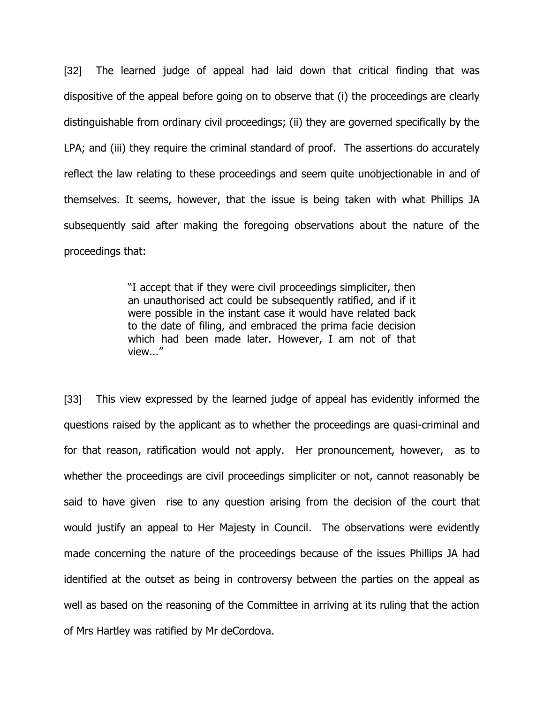[32] The learned judge of appeal had laid down that critical finding that was dispositive of the appeal before going on to observe that (i) the proceedings are clearly distinguishable from ordinary civil proceedings; (ii) they are governed specifically by the LPA; and (iii) they require the criminal standard of proof. The assertions do accurately reflect the law relating to these proceedings and seem quite unobjectionable in and of themselves. It seems, however, that the issue is being taken with what Phillips JA subsequently said after making the foregoing observations about the nature of the proceedings that:

> "I accept that if they were civil proceedings simpliciter, then an unauthorised act could be subsequently ratified, and if it were possible in the instant case it would have related back to the date of filing, and embraced the prima facie decision which had been made later. However, I am not of that view..."

[33] This view expressed by the learned judge of appeal has evidently informed the questions raised by the applicant as to whether the proceedings are quasi-criminal and for that reason, ratification would not apply. Her pronouncement, however, as to whether the proceedings are civil proceedings simpliciter or not, cannot reasonably be said to have given rise to any question arising from the decision of the court that would justify an appeal to Her Majesty in Council. The observations were evidently made concerning the nature of the proceedings because of the issues Phillips JA had identified at the outset as being in controversy between the parties on the appeal as well as based on the reasoning of the Committee in arriving at its ruling that the action of Mrs Hartley was ratified by Mr deCordova.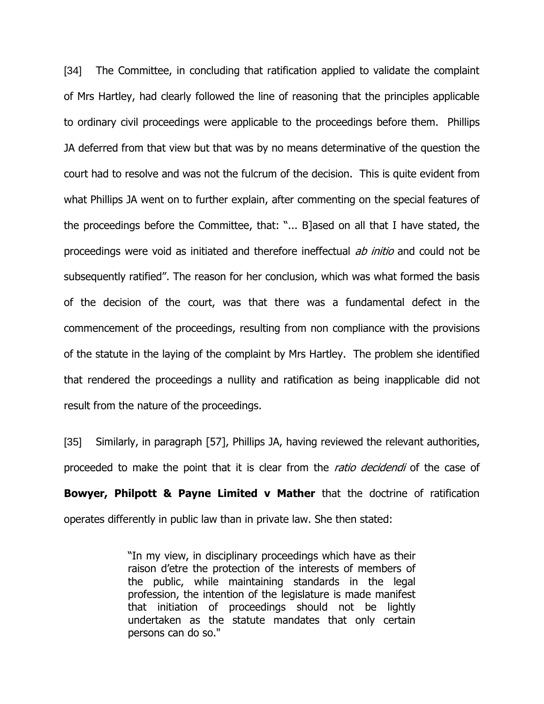[34] The Committee, in concluding that ratification applied to validate the complaint of Mrs Hartley, had clearly followed the line of reasoning that the principles applicable to ordinary civil proceedings were applicable to the proceedings before them. Phillips JA deferred from that view but that was by no means determinative of the question the court had to resolve and was not the fulcrum of the decision. This is quite evident from what Phillips JA went on to further explain, after commenting on the special features of the proceedings before the Committee, that: "... B]ased on all that I have stated, the proceedings were void as initiated and therefore ineffectual *ab initio* and could not be subsequently ratified". The reason for her conclusion, which was what formed the basis of the decision of the court, was that there was a fundamental defect in the commencement of the proceedings, resulting from non compliance with the provisions of the statute in the laying of the complaint by Mrs Hartley. The problem she identified that rendered the proceedings a nullity and ratification as being inapplicable did not result from the nature of the proceedings.

[35] Similarly, in paragraph [57], Phillips JA, having reviewed the relevant authorities, proceeded to make the point that it is clear from the *ratio decidendi* of the case of **Bowyer, Philpott & Payne Limited v Mather** that the doctrine of ratification operates differently in public law than in private law. She then stated:

> "In my view, in disciplinary proceedings which have as their raison d'etre the protection of the interests of members of the public, while maintaining standards in the legal profession, the intention of the legislature is made manifest that initiation of proceedings should not be lightly undertaken as the statute mandates that only certain persons can do so."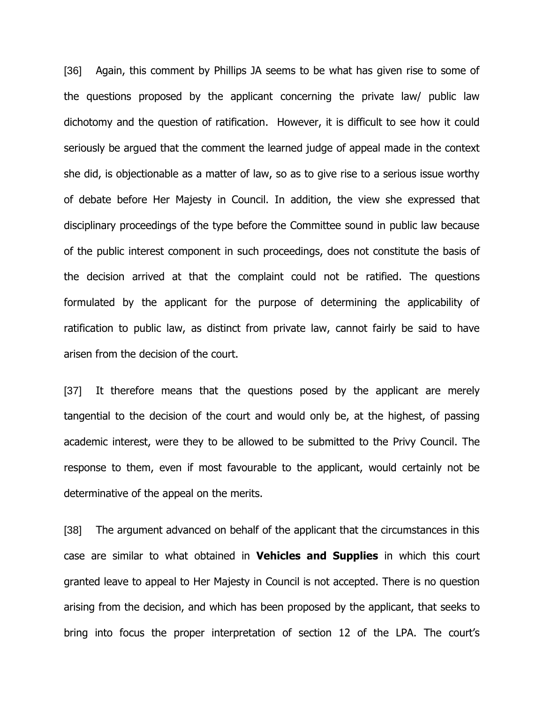[36] Again, this comment by Phillips JA seems to be what has given rise to some of the questions proposed by the applicant concerning the private law/ public law dichotomy and the question of ratification. However, it is difficult to see how it could seriously be argued that the comment the learned judge of appeal made in the context she did, is objectionable as a matter of law, so as to give rise to a serious issue worthy of debate before Her Majesty in Council. In addition, the view she expressed that disciplinary proceedings of the type before the Committee sound in public law because of the public interest component in such proceedings, does not constitute the basis of the decision arrived at that the complaint could not be ratified. The questions formulated by the applicant for the purpose of determining the applicability of ratification to public law, as distinct from private law, cannot fairly be said to have arisen from the decision of the court.

[37] It therefore means that the questions posed by the applicant are merely tangential to the decision of the court and would only be, at the highest, of passing academic interest, were they to be allowed to be submitted to the Privy Council. The response to them, even if most favourable to the applicant, would certainly not be determinative of the appeal on the merits.

[38] The argument advanced on behalf of the applicant that the circumstances in this case are similar to what obtained in **Vehicles and Supplies** in which this court granted leave to appeal to Her Majesty in Council is not accepted. There is no question arising from the decision, and which has been proposed by the applicant, that seeks to bring into focus the proper interpretation of section 12 of the LPA. The court's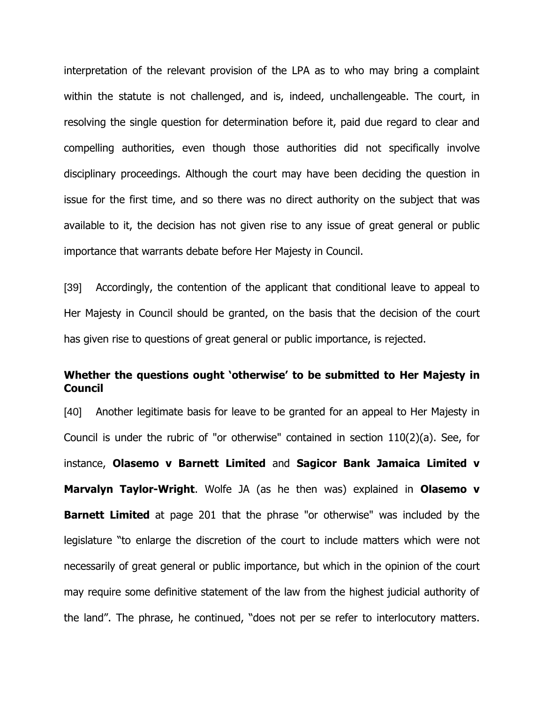interpretation of the relevant provision of the LPA as to who may bring a complaint within the statute is not challenged, and is, indeed, unchallengeable. The court, in resolving the single question for determination before it, paid due regard to clear and compelling authorities, even though those authorities did not specifically involve disciplinary proceedings. Although the court may have been deciding the question in issue for the first time, and so there was no direct authority on the subject that was available to it, the decision has not given rise to any issue of great general or public importance that warrants debate before Her Majesty in Council.

[39] Accordingly, the contention of the applicant that conditional leave to appeal to Her Majesty in Council should be granted, on the basis that the decision of the court has given rise to questions of great general or public importance, is rejected.

## **Whether the questions ought 'otherwise' to be submitted to Her Majesty in Council**

[40] Another legitimate basis for leave to be granted for an appeal to Her Majesty in Council is under the rubric of "or otherwise" contained in section 110(2)(a). See, for instance, **Olasemo v Barnett Limited** and **Sagicor Bank Jamaica Limited v Marvalyn Taylor-Wright**. Wolfe JA (as he then was) explained in **Olasemo v Barnett Limited** at page 201 that the phrase "or otherwise" was included by the legislature "to enlarge the discretion of the court to include matters which were not necessarily of great general or public importance, but which in the opinion of the court may require some definitive statement of the law from the highest judicial authority of the land". The phrase, he continued, "does not per se refer to interlocutory matters.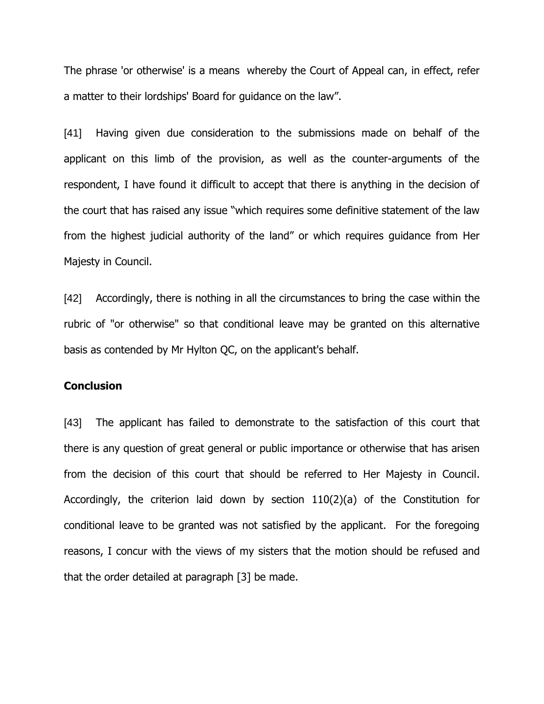The phrase 'or otherwise' is a means whereby the Court of Appeal can, in effect, refer a matter to their lordships' Board for guidance on the law".

[41] Having given due consideration to the submissions made on behalf of the applicant on this limb of the provision, as well as the counter-arguments of the respondent, I have found it difficult to accept that there is anything in the decision of the court that has raised any issue "which requires some definitive statement of the law from the highest judicial authority of the land" or which requires guidance from Her Majesty in Council.

[42] Accordingly, there is nothing in all the circumstances to bring the case within the rubric of "or otherwise" so that conditional leave may be granted on this alternative basis as contended by Mr Hylton QC, on the applicant's behalf.

#### **Conclusion**

[43] The applicant has failed to demonstrate to the satisfaction of this court that there is any question of great general or public importance or otherwise that has arisen from the decision of this court that should be referred to Her Majesty in Council. Accordingly, the criterion laid down by section 110(2)(a) of the Constitution for conditional leave to be granted was not satisfied by the applicant. For the foregoing reasons, I concur with the views of my sisters that the motion should be refused and that the order detailed at paragraph [3] be made.